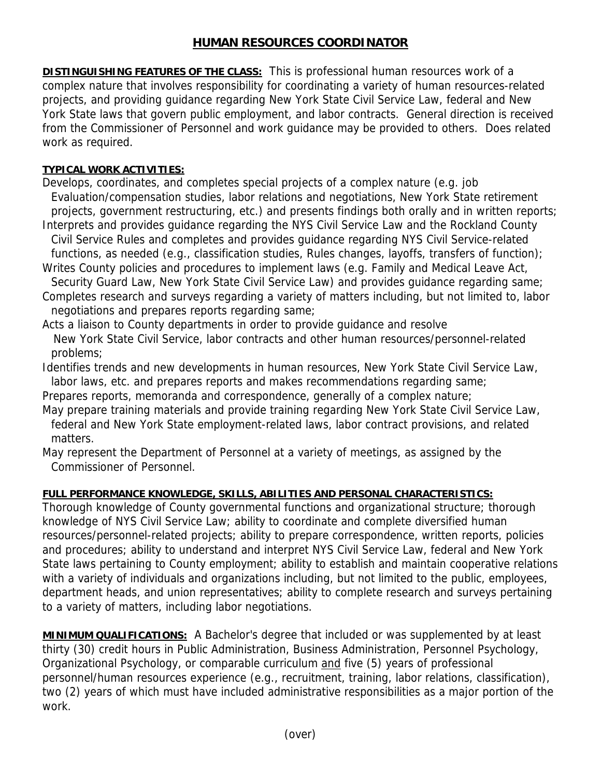## **HUMAN RESOURCES COORDINATOR**

**DISTINGUISHING FEATURES OF THE CLASS:** This is professional human resources work of a complex nature that involves responsibility for coordinating a variety of human resources-related projects, and providing guidance regarding New York State Civil Service Law, federal and New York State laws that govern public employment, and labor contracts. General direction is received from the Commissioner of Personnel and work guidance may be provided to others. Does related work as required.

## **TYPICAL WORK ACTIVITIES:**

- Develops, coordinates, and completes special projects of a complex nature (e.g. job Evaluation/compensation studies, labor relations and negotiations, New York State retirement projects, government restructuring, etc.) and presents findings both orally and in written reports;
- Interprets and provides guidance regarding the NYS Civil Service Law and the Rockland County Civil Service Rules and completes and provides guidance regarding NYS Civil Service-related functions, as needed (e.g., classification studies, Rules changes, layoffs, transfers of function);
- Writes County policies and procedures to implement laws (e.g. Family and Medical Leave Act, Security Guard Law, New York State Civil Service Law) and provides guidance regarding same;
- Completes research and surveys regarding a variety of matters including, but not limited to, labor negotiations and prepares reports regarding same;
- Acts a liaison to County departments in order to provide guidance and resolve New York State Civil Service, labor contracts and other human resources/personnel-related problems;
- Identifies trends and new developments in human resources, New York State Civil Service Law, labor laws, etc. and prepares reports and makes recommendations regarding same;
- Prepares reports, memoranda and correspondence, generally of a complex nature;
- May prepare training materials and provide training regarding New York State Civil Service Law, federal and New York State employment-related laws, labor contract provisions, and related matters.
- May represent the Department of Personnel at a variety of meetings, as assigned by the Commissioner of Personnel.

## **FULL PERFORMANCE KNOWLEDGE, SKILLS, ABILITIES AND PERSONAL CHARACTERISTICS:**

Thorough knowledge of County governmental functions and organizational structure; thorough knowledge of NYS Civil Service Law; ability to coordinate and complete diversified human resources/personnel-related projects; ability to prepare correspondence, written reports, policies and procedures; ability to understand and interpret NYS Civil Service Law, federal and New York State laws pertaining to County employment; ability to establish and maintain cooperative relations with a variety of individuals and organizations including, but not limited to the public, employees, department heads, and union representatives; ability to complete research and surveys pertaining to a variety of matters, including labor negotiations.

**MINIMUM QUALIFICATIONS:** A Bachelor's degree that included or was supplemented by at least thirty (30) credit hours in Public Administration, Business Administration, Personnel Psychology, Organizational Psychology, or comparable curriculum and five (5) years of professional personnel/human resources experience (e.g., recruitment, training, labor relations, classification), two (2) years of which must have included administrative responsibilities as a major portion of the work.